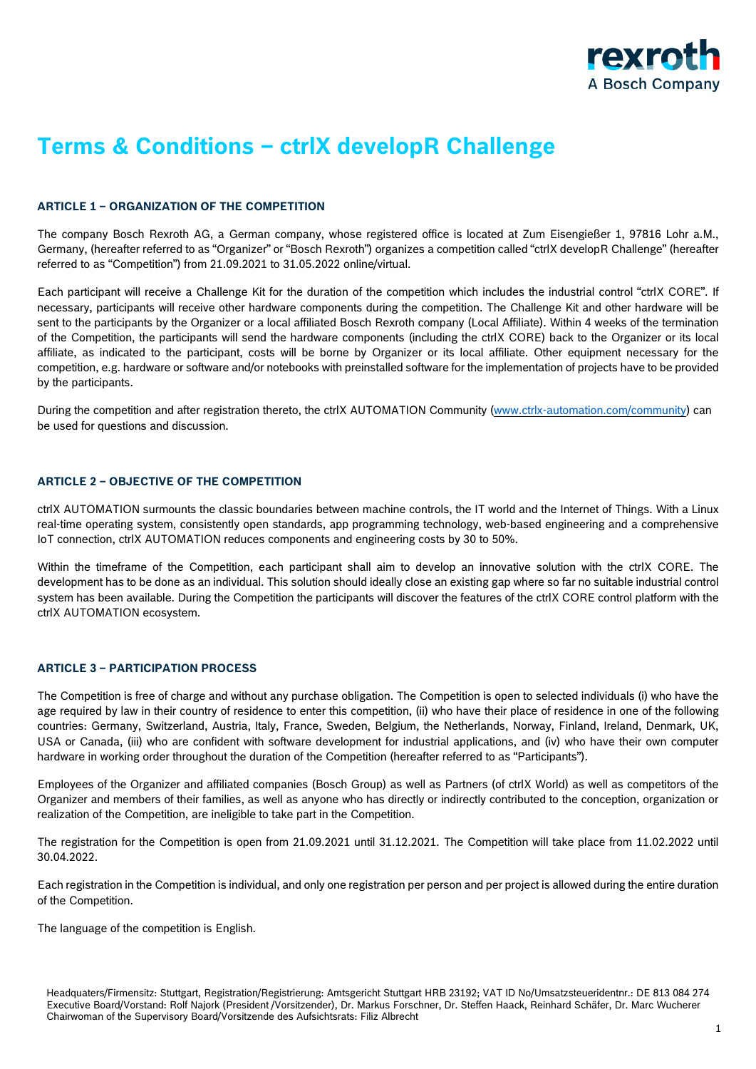

# **Terms & Conditions – ctrlX developR Challenge**

## **ARTICLE 1 – ORGANIZATION OF THE COMPETITION**

The company Bosch Rexroth AG, a German company, whose registered office is located at Zum Eisengießer 1, 97816 Lohr a.M., Germany, (hereafter referred to as "Organizer" or "Bosch Rexroth") organizes a competition called "ctrlX developR Challenge" (hereafter referred to as "Competition") from 21.09.2021 to 31.05.2022 online/virtual.

Each participant will receive a Challenge Kit for the duration of the competition which includes the industrial control "ctrlX CORE". If necessary, participants will receive other hardware components during the competition. The Challenge Kit and other hardware will be sent to the participants by the Organizer or a local affiliated Bosch Rexroth company (Local Affiliate). Within 4 weeks of the termination of the Competition, the participants will send the hardware components (including the ctrlX CORE) back to the Organizer or its local affiliate, as indicated to the participant, costs will be borne by Organizer or its local affiliate. Other equipment necessary for the competition, e.g. hardware or software and/or notebooks with preinstalled software for the implementation of projects have to be provided by the participants.

During the competition and after registration thereto, the ctrlX AUTOMATION Community [\(www.ctrlx-automation.com/community\)](http://www.ctrlx-automation.com/community) can be used for questions and discussion.

## **ARTICLE 2 – OBJECTIVE OF THE COMPETITION**

ctrlX AUTOMATION surmounts the classic boundaries between machine controls, the IT world and the Internet of Things. With a Linux real-time operating system, consistently open standards, app programming technology, web-based engineering and a comprehensive IoT connection, ctrlX AUTOMATION reduces components and engineering costs by 30 to 50%.

Within the timeframe of the Competition, each participant shall aim to develop an innovative solution with the ctrlX CORE. The development has to be done as an individual. This solution should ideally close an existing gap where so far no suitable industrial control system has been available. During the Competition the participants will discover the features of the ctrlX CORE control platform with the ctrlX AUTOMATION ecosystem.

### **ARTICLE 3 – PARTICIPATION PROCESS**

The Competition is free of charge and without any purchase obligation. The Competition is open to selected individuals (i) who have the age required by law in their country of residence to enter this competition, (ii) who have their place of residence in one of the following countries: Germany, Switzerland, Austria, Italy, France, Sweden, Belgium, the Netherlands, Norway, Finland, Ireland, Denmark, UK, USA or Canada, (iii) who are confident with software development for industrial applications, and (iv) who have their own computer hardware in working order throughout the duration of the Competition (hereafter referred to as "Participants").

Employees of the Organizer and affiliated companies (Bosch Group) as well as Partners (of ctrlX World) as well as competitors of the Organizer and members of their families, as well as anyone who has directly or indirectly contributed to the conception, organization or realization of the Competition, are ineligible to take part in the Competition.

The registration for the Competition is open from 21.09.2021 until 31.12.2021. The Competition will take place from 11.02.2022 until 30.04.2022.

Each registration in the Competition is individual, and only one registration per person and per project is allowed during the entire duration of the Competition.

The language of the competition is English.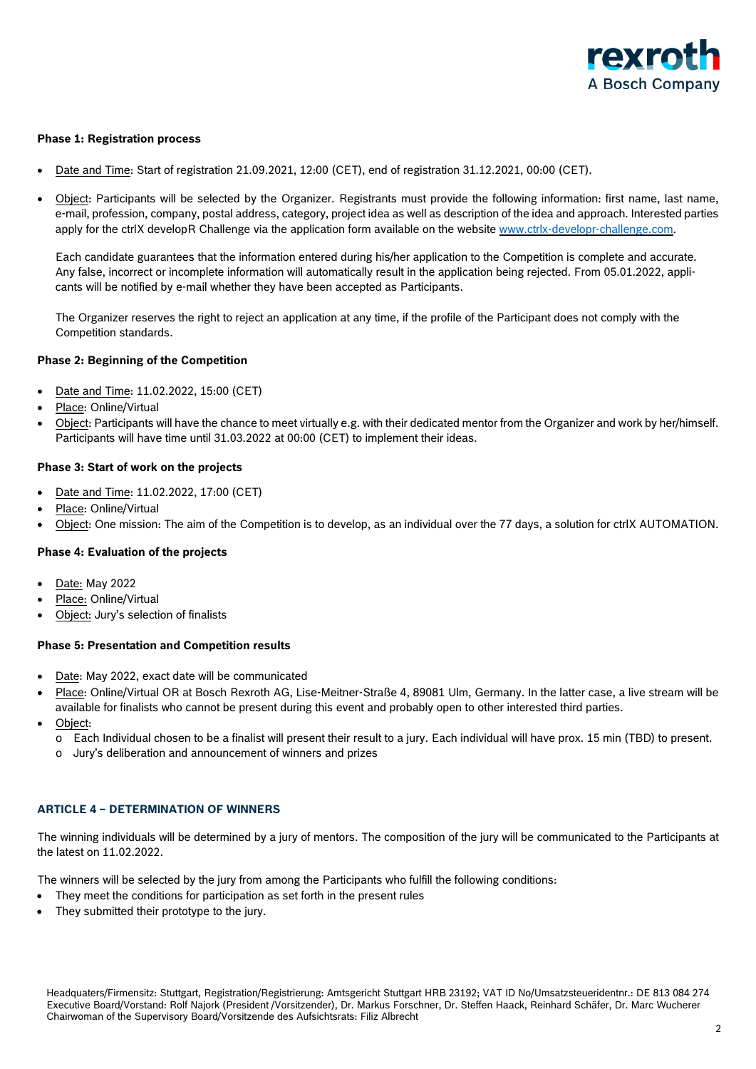

## **Phase 1: Registration process**

- Date and Time: Start of registration 21.09.2021, 12:00 (CET), end of registration 31.12.2021, 00:00 (CET).
- Object: Participants will be selected by the Organizer. Registrants must provide the following information: first name, last name, e-mail, profession, company, postal address, category, project idea as well as description of the idea and approach. Interested parties apply for the ctrlX developR Challenge via the application form available on the website [www.ctrlx-developr-challenge.com.](http://www.ctrlx-developr-challenge.com/)

Each candidate guarantees that the information entered during his/her application to the Competition is complete and accurate. Any false, incorrect or incomplete information will automatically result in the application being rejected. From 05.01.2022, applicants will be notified by e-mail whether they have been accepted as Participants.

The Organizer reserves the right to reject an application at any time, if the profile of the Participant does not comply with the Competition standards.

### **Phase 2: Beginning of the Competition**

- Date and Time: 11.02.2022, 15:00 (CET)
- Place: Online/Virtual
- Object: Participants will have the chance to meet virtually e.g. with their dedicated mentor from the Organizer and work by her/himself. Participants will have time until 31.03.2022 at 00:00 (CET) to implement their ideas.

### **Phase 3: Start of work on the projects**

- Date and Time: 11.02.2022, 17:00 (CET)
- Place: Online/Virtual
- Object: One mission: The aim of the Competition is to develop, as an individual over the 77 days, a solution for ctrlX AUTOMATION.

### **Phase 4: Evaluation of the projects**

- Date: May 2022
- Place: Online/Virtual
- Object: Jury's selection of finalists

## **Phase 5: Presentation and Competition results**

- Date: May 2022, exact date will be communicated
- Place: Online/Virtual OR at Bosch Rexroth AG, Lise-Meitner-Straße 4, 89081 Ulm, Germany. In the latter case, a live stream will be available for finalists who cannot be present during this event and probably open to other interested third parties.
- Object:
	- o Each Individual chosen to be a finalist will present their result to a jury. Each individual will have prox. 15 min (TBD) to present.
	- o Jury's deliberation and announcement of winners and prizes

### **ARTICLE 4 – DETERMINATION OF WINNERS**

The winning individuals will be determined by a jury of mentors. The composition of the jury will be communicated to the Participants at the latest on 11.02.2022.

The winners will be selected by the jury from among the Participants who fulfill the following conditions:

- They meet the conditions for participation as set forth in the present rules
- They submitted their prototype to the jury.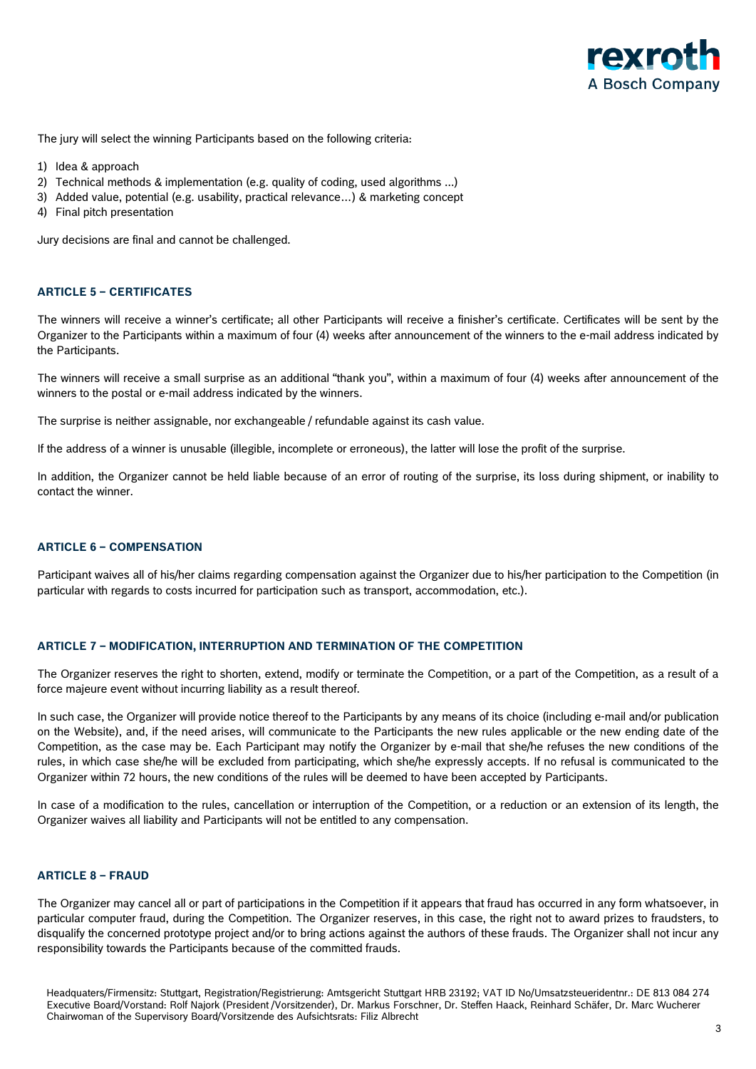

The jury will select the winning Participants based on the following criteria:

- 1) Idea & approach
- 2) Technical methods & implementation (e.g. quality of coding, used algorithms ...)
- 3) Added value, potential (e.g. usability, practical relevance…) & marketing concept
- 4) Final pitch presentation

Jury decisions are final and cannot be challenged.

### **ARTICLE 5 – CERTIFICATES**

The winners will receive a winner's certificate; all other Participants will receive a finisher's certificate. Certificates will be sent by the Organizer to the Participants within a maximum of four (4) weeks after announcement of the winners to the e-mail address indicated by the Participants.

The winners will receive a small surprise as an additional "thank you", within a maximum of four (4) weeks after announcement of the winners to the postal or e-mail address indicated by the winners.

The surprise is neither assignable, nor exchangeable / refundable against its cash value.

If the address of a winner is unusable (illegible, incomplete or erroneous), the latter will lose the profit of the surprise.

In addition, the Organizer cannot be held liable because of an error of routing of the surprise, its loss during shipment, or inability to contact the winner.

## **ARTICLE 6 – COMPENSATION**

Participant waives all of his/her claims regarding compensation against the Organizer due to his/her participation to the Competition (in particular with regards to costs incurred for participation such as transport, accommodation, etc.).

## **ARTICLE 7 – MODIFICATION, INTERRUPTION AND TERMINATION OF THE COMPETITION**

The Organizer reserves the right to shorten, extend, modify or terminate the Competition, or a part of the Competition, as a result of a force majeure event without incurring liability as a result thereof.

In such case, the Organizer will provide notice thereof to the Participants by any means of its choice (including e-mail and/or publication on the Website), and, if the need arises, will communicate to the Participants the new rules applicable or the new ending date of the Competition, as the case may be. Each Participant may notify the Organizer by e-mail that she/he refuses the new conditions of the rules, in which case she/he will be excluded from participating, which she/he expressly accepts. If no refusal is communicated to the Organizer within 72 hours, the new conditions of the rules will be deemed to have been accepted by Participants.

In case of a modification to the rules, cancellation or interruption of the Competition, or a reduction or an extension of its length, the Organizer waives all liability and Participants will not be entitled to any compensation.

### **ARTICLE 8 – FRAUD**

The Organizer may cancel all or part of participations in the Competition if it appears that fraud has occurred in any form whatsoever, in particular computer fraud, during the Competition. The Organizer reserves, in this case, the right not to award prizes to fraudsters, to disqualify the concerned prototype project and/or to bring actions against the authors of these frauds. The Organizer shall not incur any responsibility towards the Participants because of the committed frauds.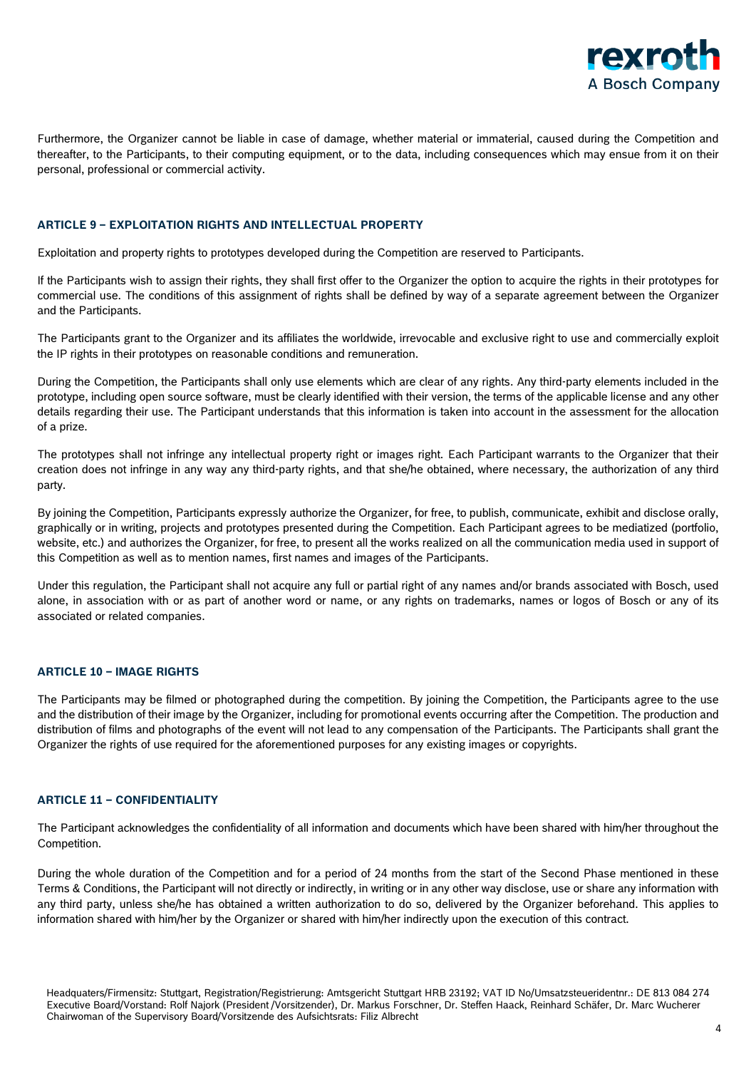

Furthermore, the Organizer cannot be liable in case of damage, whether material or immaterial, caused during the Competition and thereafter, to the Participants, to their computing equipment, or to the data, including consequences which may ensue from it on their personal, professional or commercial activity.

## **ARTICLE 9 – EXPLOITATION RIGHTS AND INTELLECTUAL PROPERTY**

Exploitation and property rights to prototypes developed during the Competition are reserved to Participants.

If the Participants wish to assign their rights, they shall first offer to the Organizer the option to acquire the rights in their prototypes for commercial use. The conditions of this assignment of rights shall be defined by way of a separate agreement between the Organizer and the Participants.

The Participants grant to the Organizer and its affiliates the worldwide, irrevocable and exclusive right to use and commercially exploit the IP rights in their prototypes on reasonable conditions and remuneration.

During the Competition, the Participants shall only use elements which are clear of any rights. Any third-party elements included in the prototype, including open source software, must be clearly identified with their version, the terms of the applicable license and any other details regarding their use. The Participant understands that this information is taken into account in the assessment for the allocation of a prize.

The prototypes shall not infringe any intellectual property right or images right. Each Participant warrants to the Organizer that their creation does not infringe in any way any third-party rights, and that she/he obtained, where necessary, the authorization of any third party.

By joining the Competition, Participants expressly authorize the Organizer, for free, to publish, communicate, exhibit and disclose orally, graphically or in writing, projects and prototypes presented during the Competition. Each Participant agrees to be mediatized (portfolio, website, etc.) and authorizes the Organizer, for free, to present all the works realized on all the communication media used in support of this Competition as well as to mention names, first names and images of the Participants.

Under this regulation, the Participant shall not acquire any full or partial right of any names and/or brands associated with Bosch, used alone, in association with or as part of another word or name, or any rights on trademarks, names or logos of Bosch or any of its associated or related companies.

### **ARTICLE 10 – IMAGE RIGHTS**

The Participants may be filmed or photographed during the competition. By joining the Competition, the Participants agree to the use and the distribution of their image by the Organizer, including for promotional events occurring after the Competition. The production and distribution of films and photographs of the event will not lead to any compensation of the Participants. The Participants shall grant the Organizer the rights of use required for the aforementioned purposes for any existing images or copyrights.

## **ARTICLE 11 – CONFIDENTIALITY**

The Participant acknowledges the confidentiality of all information and documents which have been shared with him/her throughout the Competition.

During the whole duration of the Competition and for a period of 24 months from the start of the Second Phase mentioned in these Terms & Conditions, the Participant will not directly or indirectly, in writing or in any other way disclose, use or share any information with any third party, unless she/he has obtained a written authorization to do so, delivered by the Organizer beforehand. This applies to information shared with him/her by the Organizer or shared with him/her indirectly upon the execution of this contract.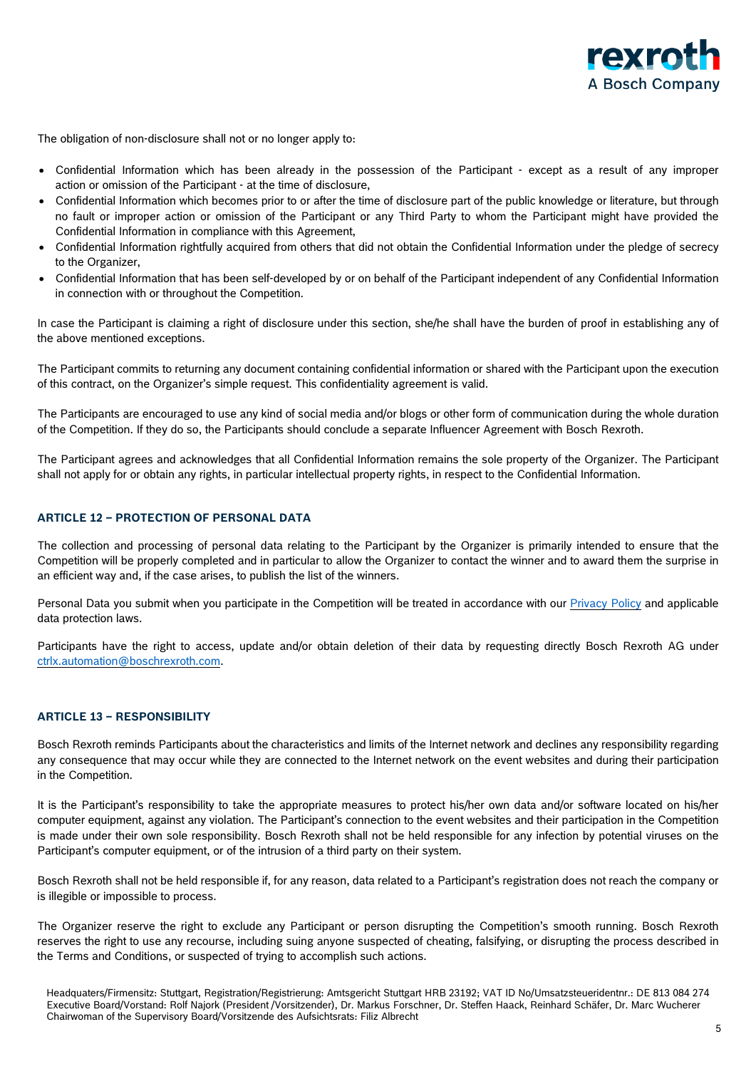

The obligation of non-disclosure shall not or no longer apply to:

- Confidential Information which has been already in the possession of the Participant except as a result of any improper action or omission of the Participant - at the time of disclosure,
- Confidential Information which becomes prior to or after the time of disclosure part of the public knowledge or literature, but through no fault or improper action or omission of the Participant or any Third Party to whom the Participant might have provided the Confidential Information in compliance with this Agreement,
- Confidential Information rightfully acquired from others that did not obtain the Confidential Information under the pledge of secrecy to the Organizer,
- Confidential Information that has been self-developed by or on behalf of the Participant independent of any Confidential Information in connection with or throughout the Competition.

In case the Participant is claiming a right of disclosure under this section, she/he shall have the burden of proof in establishing any of the above mentioned exceptions.

The Participant commits to returning any document containing confidential information or shared with the Participant upon the execution of this contract, on the Organizer's simple request. This confidentiality agreement is valid.

The Participants are encouraged to use any kind of social media and/or blogs or other form of communication during the whole duration of the Competition. If they do so, the Participants should conclude a separate Influencer Agreement with Bosch Rexroth.

The Participant agrees and acknowledges that all Confidential Information remains the sole property of the Organizer. The Participant shall not apply for or obtain any rights, in particular intellectual property rights, in respect to the Confidential Information.

## **ARTICLE 12 – PROTECTION OF PERSONAL DATA**

The collection and processing of personal data relating to the Participant by the Organizer is primarily intended to ensure that the Competition will be properly completed and in particular to allow the Organizer to contact the winner and to award them the surprise in an efficient way and, if the case arises, to publish the list of the winners.

Personal Data you submit when you participate in the Competition will be treated in accordance with our [Privacy](https://www.boschrexroth.com/documents/12605/34233325/ctrlX+AUTOMATION+-+developR+Challenge+-+GDPR+-+2021-09%3B+EN-DE/0b332340-7162-965b-6d5c-08eb82b1d9d5) Policy and applicable data protection laws.

Participants have the right to access, update and/or obtain deletion of their data by requesting directly Bosch Rexroth AG under [ctrlx.automation@boschrexroth.com.](mailto:ctrlx.automation@boschrexroth.com)

## **ARTICLE 13 – RESPONSIBILITY**

Bosch Rexroth reminds Participants about the characteristics and limits of the Internet network and declines any responsibility regarding any consequence that may occur while they are connected to the Internet network on the event websites and during their participation in the Competition.

It is the Participant's responsibility to take the appropriate measures to protect his/her own data and/or software located on his/her computer equipment, against any violation. The Participant's connection to the event websites and their participation in the Competition is made under their own sole responsibility. Bosch Rexroth shall not be held responsible for any infection by potential viruses on the Participant's computer equipment, or of the intrusion of a third party on their system.

Bosch Rexroth shall not be held responsible if, for any reason, data related to a Participant's registration does not reach the company or is illegible or impossible to process.

The Organizer reserve the right to exclude any Participant or person disrupting the Competition's smooth running. Bosch Rexroth reserves the right to use any recourse, including suing anyone suspected of cheating, falsifying, or disrupting the process described in the Terms and Conditions, or suspected of trying to accomplish such actions.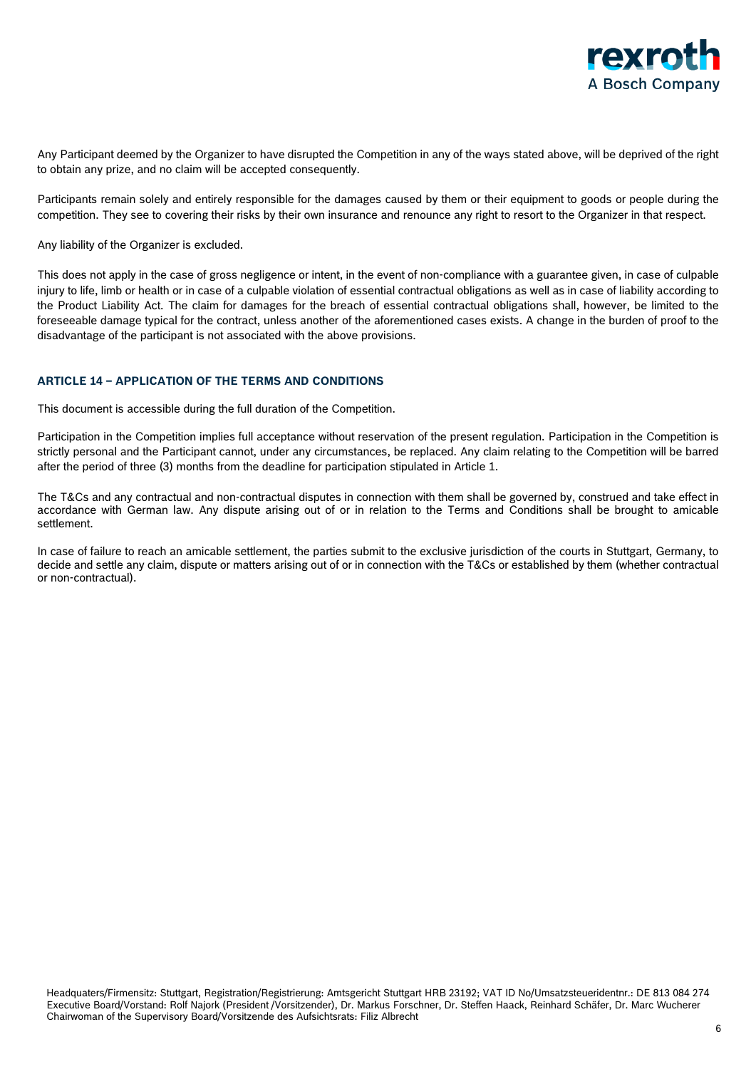

Any Participant deemed by the Organizer to have disrupted the Competition in any of the ways stated above, will be deprived of the right to obtain any prize, and no claim will be accepted consequently.

Participants remain solely and entirely responsible for the damages caused by them or their equipment to goods or people during the competition. They see to covering their risks by their own insurance and renounce any right to resort to the Organizer in that respect.

Any liability of the Organizer is excluded.

This does not apply in the case of gross negligence or intent, in the event of non-compliance with a guarantee given, in case of culpable injury to life, limb or health or in case of a culpable violation of essential contractual obligations as well as in case of liability according to the Product Liability Act. The claim for damages for the breach of essential contractual obligations shall, however, be limited to the foreseeable damage typical for the contract, unless another of the aforementioned cases exists. A change in the burden of proof to the disadvantage of the participant is not associated with the above provisions.

## **ARTICLE 14 – APPLICATION OF THE TERMS AND CONDITIONS**

This document is accessible during the full duration of the Competition.

Participation in the Competition implies full acceptance without reservation of the present regulation. Participation in the Competition is strictly personal and the Participant cannot, under any circumstances, be replaced. Any claim relating to the Competition will be barred after the period of three (3) months from the deadline for participation stipulated in Article 1.

The T&Cs and any contractual and non-contractual disputes in connection with them shall be governed by, construed and take effect in accordance with German law. Any dispute arising out of or in relation to the Terms and Conditions shall be brought to amicable settlement.

In case of failure to reach an amicable settlement, the parties submit to the exclusive jurisdiction of the courts in Stuttgart, Germany, to decide and settle any claim, dispute or matters arising out of or in connection with the T&Cs or established by them (whether contractual or non-contractual).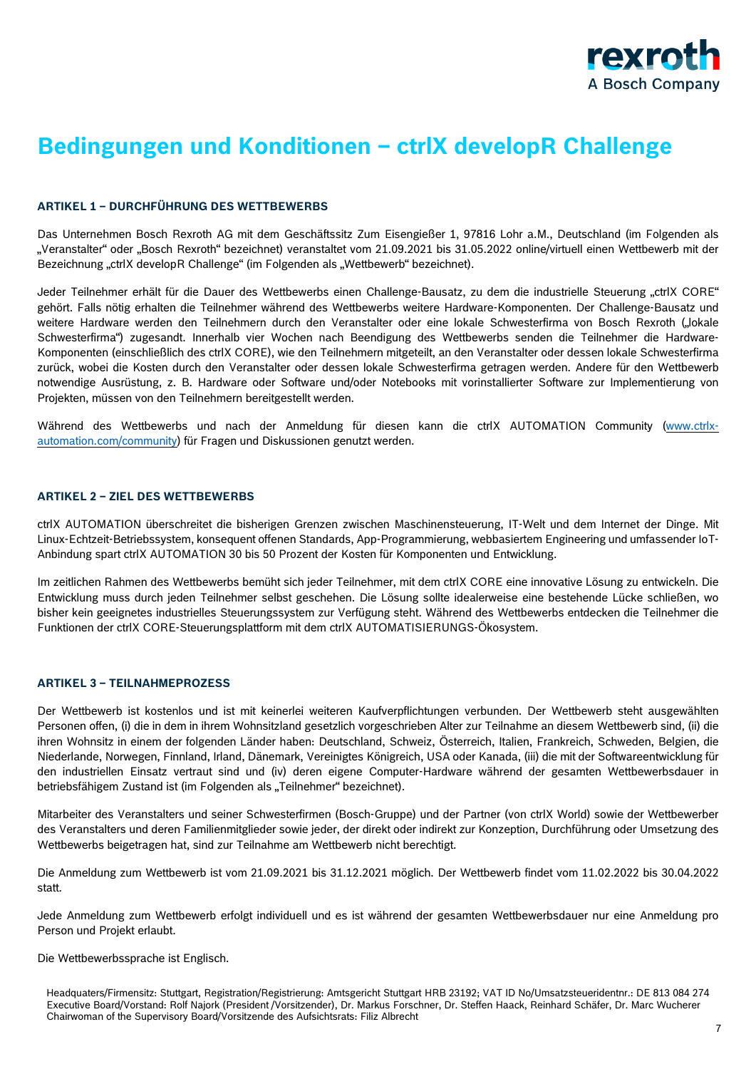

# **Bedingungen und Konditionen – ctrlX developR Challenge**

## **ARTIKEL 1 – DURCHFÜHRUNG DES WETTBEWERBS**

Das Unternehmen Bosch Rexroth AG mit dem Geschäftssitz Zum Eisengießer 1, 97816 Lohr a.M., Deutschland (im Folgenden als "Veranstalter" oder "Bosch Rexroth" bezeichnet) veranstaltet vom 21.09.2021 bis 31.05.2022 online/virtuell einen Wettbewerb mit der Bezeichnung "ctrlX developR Challenge" (im Folgenden als "Wettbewerb" bezeichnet).

Jeder Teilnehmer erhält für die Dauer des Wettbewerbs einen Challenge-Bausatz, zu dem die industrielle Steuerung "ctrlX CORE" gehört. Falls nötig erhalten die Teilnehmer während des Wettbewerbs weitere Hardware-Komponenten. Der Challenge-Bausatz und weitere Hardware werden den Teilnehmern durch den Veranstalter oder eine lokale Schwesterfirma von Bosch Rexroth ("lokale Schwesterfirma") zugesandt. Innerhalb vier Wochen nach Beendigung des Wettbewerbs senden die Teilnehmer die Hardware-Komponenten (einschließlich des ctrlX CORE), wie den Teilnehmern mitgeteilt, an den Veranstalter oder dessen lokale Schwesterfirma zurück, wobei die Kosten durch den Veranstalter oder dessen lokale Schwesterfirma getragen werden. Andere für den Wettbewerb notwendige Ausrüstung, z. B. Hardware oder Software und/oder Notebooks mit vorinstallierter Software zur Implementierung von Projekten, müssen von den Teilnehmern bereitgestellt werden.

Während des Wettbewerbs und nach der Anmeldung für diesen kann die ctrlX AUTOMATION Community [\(www.ctrlx](http://www.ctrlx-automation.com/community)[automation.com/community\)](http://www.ctrlx-automation.com/community) für Fragen und Diskussionen genutzt werden.

## **ARTIKEL 2 – ZIEL DES WETTBEWERBS**

ctrlX AUTOMATION überschreitet die bisherigen Grenzen zwischen Maschinensteuerung, IT-Welt und dem Internet der Dinge. Mit Linux-Echtzeit-Betriebssystem, konsequent offenen Standards, App-Programmierung, webbasiertem Engineering und umfassender IoT-Anbindung spart ctrlX AUTOMATION 30 bis 50 Prozent der Kosten für Komponenten und Entwicklung.

Im zeitlichen Rahmen des Wettbewerbs bemüht sich jeder Teilnehmer, mit dem ctrlX CORE eine innovative Lösung zu entwickeln. Die Entwicklung muss durch jeden Teilnehmer selbst geschehen. Die Lösung sollte idealerweise eine bestehende Lücke schließen, wo bisher kein geeignetes industrielles Steuerungssystem zur Verfügung steht. Während des Wettbewerbs entdecken die Teilnehmer die Funktionen der ctrlX CORE-Steuerungsplattform mit dem ctrlX AUTOMATISIERUNGS-Ökosystem.

## **ARTIKEL 3 – TEILNAHMEPROZESS**

Der Wettbewerb ist kostenlos und ist mit keinerlei weiteren Kaufverpflichtungen verbunden. Der Wettbewerb steht ausgewählten Personen offen, (i) die in dem in ihrem Wohnsitzland gesetzlich vorgeschrieben Alter zur Teilnahme an diesem Wettbewerb sind, (ii) die ihren Wohnsitz in einem der folgenden Länder haben: Deutschland, Schweiz, Österreich, Italien, Frankreich, Schweden, Belgien, die Niederlande, Norwegen, Finnland, Irland, Dänemark, Vereinigtes Königreich, USA oder Kanada, (iii) die mit der Softwareentwicklung für den industriellen Einsatz vertraut sind und (iv) deren eigene Computer-Hardware während der gesamten Wettbewerbsdauer in betriebsfähigem Zustand ist (im Folgenden als "Teilnehmer" bezeichnet).

Mitarbeiter des Veranstalters und seiner Schwesterfirmen (Bosch-Gruppe) und der Partner (von ctrlX World) sowie der Wettbewerber des Veranstalters und deren Familienmitglieder sowie jeder, der direkt oder indirekt zur Konzeption, Durchführung oder Umsetzung des Wettbewerbs beigetragen hat, sind zur Teilnahme am Wettbewerb nicht berechtigt.

Die Anmeldung zum Wettbewerb ist vom 21.09.2021 bis 31.12.2021 möglich. Der Wettbewerb findet vom 11.02.2022 bis 30.04.2022 statt.

Jede Anmeldung zum Wettbewerb erfolgt individuell und es ist während der gesamten Wettbewerbsdauer nur eine Anmeldung pro Person und Projekt erlaubt.

Die Wettbewerbssprache ist Englisch.

Headquaters/Firmensitz: Stuttgart, Registration/Registrierung: Amtsgericht Stuttgart HRB 23192; VAT ID No/Umsatzsteueridentnr.: DE 813 084 274 Executive Board/Vorstand: Rolf Najork (President /Vorsitzender), Dr. Markus Forschner, Dr. Steffen Haack, Reinhard Schäfer, Dr. Marc Wucherer Chairwoman of the Supervisory Board/Vorsitzende des Aufsichtsrats: Filiz Albrecht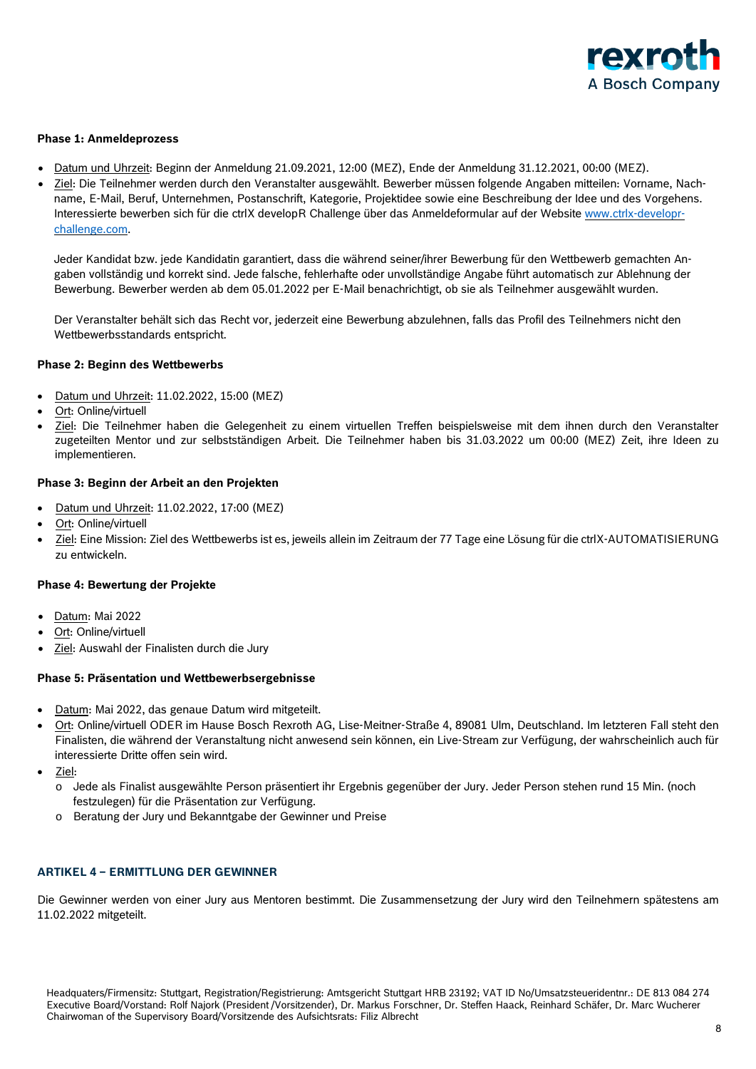

## **Phase 1: Anmeldeprozess**

- Datum und Uhrzeit: Beginn der Anmeldung 21.09.2021, 12:00 (MEZ), Ende der Anmeldung 31.12.2021, 00:00 (MEZ).
- Ziel: Die Teilnehmer werden durch den Veranstalter ausgewählt. Bewerber müssen folgende Angaben mitteilen: Vorname, Nachname, E-Mail, Beruf, Unternehmen, Postanschrift, Kategorie, Projektidee sowie eine Beschreibung der Idee und des Vorgehens. Interessierte bewerben sich für die ctrlX developR Challenge über das Anmeldeformular auf der Website [www.ctrlx-developr](http://www.ctrlx-developr-challenge.com/)[challenge.com.](http://www.ctrlx-developr-challenge.com/)

Jeder Kandidat bzw. jede Kandidatin garantiert, dass die während seiner/ihrer Bewerbung für den Wettbewerb gemachten Angaben vollständig und korrekt sind. Jede falsche, fehlerhafte oder unvollständige Angabe führt automatisch zur Ablehnung der Bewerbung. Bewerber werden ab dem 05.01.2022 per E-Mail benachrichtigt, ob sie als Teilnehmer ausgewählt wurden.

Der Veranstalter behält sich das Recht vor, jederzeit eine Bewerbung abzulehnen, falls das Profil des Teilnehmers nicht den Wettbewerbsstandards entspricht.

### **Phase 2: Beginn des Wettbewerbs**

- Datum und Uhrzeit: 11.02.2022, 15:00 (MEZ)
- Ort: Online/virtuell
- Ziel: Die Teilnehmer haben die Gelegenheit zu einem virtuellen Treffen beispielsweise mit dem ihnen durch den Veranstalter zugeteilten Mentor und zur selbstständigen Arbeit. Die Teilnehmer haben bis 31.03.2022 um 00:00 (MEZ) Zeit, ihre Ideen zu implementieren.

## **Phase 3: Beginn der Arbeit an den Projekten**

- Datum und Uhrzeit: 11.02.2022, 17:00 (MEZ)
- Ort: Online/virtuell
- Ziel: Eine Mission: Ziel des Wettbewerbs ist es, jeweils allein im Zeitraum der 77 Tage eine Lösung für die ctrlX-AUTOMATISIERUNG zu entwickeln.

### **Phase 4: Bewertung der Projekte**

- Datum: Mai 2022
- Ort: Online/virtuell
- Ziel: Auswahl der Finalisten durch die Jury

## **Phase 5: Präsentation und Wettbewerbsergebnisse**

- Datum: Mai 2022, das genaue Datum wird mitgeteilt.
- Ort: Online/virtuell ODER im Hause Bosch Rexroth AG, Lise-Meitner-Straße 4, 89081 Ulm, Deutschland. Im letzteren Fall steht den Finalisten, die während der Veranstaltung nicht anwesend sein können, ein Live-Stream zur Verfügung, der wahrscheinlich auch für interessierte Dritte offen sein wird.
- Ziel:
	- o Jede als Finalist ausgewählte Person präsentiert ihr Ergebnis gegenüber der Jury. Jeder Person stehen rund 15 Min. (noch festzulegen) für die Präsentation zur Verfügung.
	- o Beratung der Jury und Bekanntgabe der Gewinner und Preise

## **ARTIKEL 4 – ERMITTLUNG DER GEWINNER**

Die Gewinner werden von einer Jury aus Mentoren bestimmt. Die Zusammensetzung der Jury wird den Teilnehmern spätestens am 11.02.2022 mitgeteilt.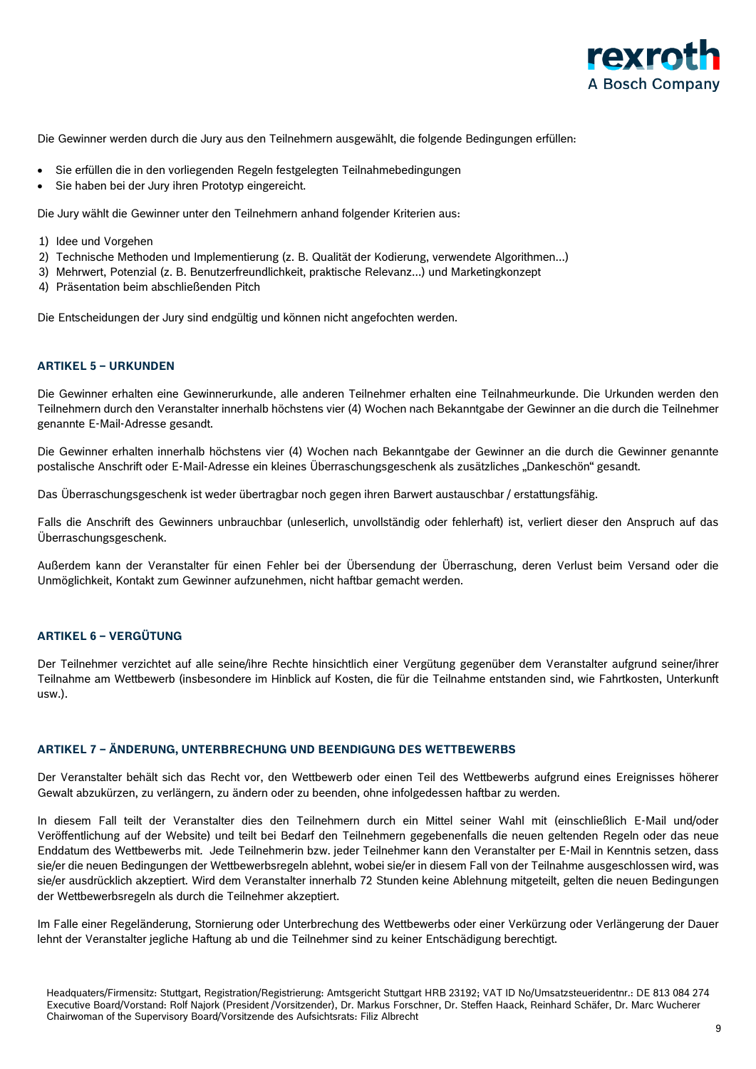

Die Gewinner werden durch die Jury aus den Teilnehmern ausgewählt, die folgende Bedingungen erfüllen:

- Sie erfüllen die in den vorliegenden Regeln festgelegten Teilnahmebedingungen
- Sie haben bei der Jury ihren Prototyp eingereicht.

Die Jury wählt die Gewinner unter den Teilnehmern anhand folgender Kriterien aus:

- 1) Idee und Vorgehen
- 2) Technische Methoden und Implementierung (z. B. Qualität der Kodierung, verwendete Algorithmen...)
- 3) Mehrwert, Potenzial (z. B. Benutzerfreundlichkeit, praktische Relevanz...) und Marketingkonzept
- 4) Präsentation beim abschließenden Pitch

Die Entscheidungen der Jury sind endgültig und können nicht angefochten werden.

#### **ARTIKEL 5 – URKUNDEN**

Die Gewinner erhalten eine Gewinnerurkunde, alle anderen Teilnehmer erhalten eine Teilnahmeurkunde. Die Urkunden werden den Teilnehmern durch den Veranstalter innerhalb höchstens vier (4) Wochen nach Bekanntgabe der Gewinner an die durch die Teilnehmer genannte E-Mail-Adresse gesandt.

Die Gewinner erhalten innerhalb höchstens vier (4) Wochen nach Bekanntgabe der Gewinner an die durch die Gewinner genannte postalische Anschrift oder E-Mail-Adresse ein kleines Überraschungsgeschenk als zusätzliches "Dankeschön" gesandt.

Das Überraschungsgeschenk ist weder übertragbar noch gegen ihren Barwert austauschbar / erstattungsfähig.

Falls die Anschrift des Gewinners unbrauchbar (unleserlich, unvollständig oder fehlerhaft) ist, verliert dieser den Anspruch auf das Überraschungsgeschenk.

Außerdem kann der Veranstalter für einen Fehler bei der Übersendung der Überraschung, deren Verlust beim Versand oder die Unmöglichkeit, Kontakt zum Gewinner aufzunehmen, nicht haftbar gemacht werden.

## **ARTIKEL 6 – VERGÜTUNG**

Der Teilnehmer verzichtet auf alle seine/ihre Rechte hinsichtlich einer Vergütung gegenüber dem Veranstalter aufgrund seiner/ihrer Teilnahme am Wettbewerb (insbesondere im Hinblick auf Kosten, die für die Teilnahme entstanden sind, wie Fahrtkosten, Unterkunft usw.).

#### **ARTIKEL 7 – ÄNDERUNG, UNTERBRECHUNG UND BEENDIGUNG DES WETTBEWERBS**

Der Veranstalter behält sich das Recht vor, den Wettbewerb oder einen Teil des Wettbewerbs aufgrund eines Ereignisses höherer Gewalt abzukürzen, zu verlängern, zu ändern oder zu beenden, ohne infolgedessen haftbar zu werden.

In diesem Fall teilt der Veranstalter dies den Teilnehmern durch ein Mittel seiner Wahl mit (einschließlich E-Mail und/oder Veröffentlichung auf der Website) und teilt bei Bedarf den Teilnehmern gegebenenfalls die neuen geltenden Regeln oder das neue Enddatum des Wettbewerbs mit. Jede Teilnehmerin bzw. jeder Teilnehmer kann den Veranstalter per E-Mail in Kenntnis setzen, dass sie/er die neuen Bedingungen der Wettbewerbsregeln ablehnt, wobei sie/er in diesem Fall von der Teilnahme ausgeschlossen wird, was sie/er ausdrücklich akzeptiert. Wird dem Veranstalter innerhalb 72 Stunden keine Ablehnung mitgeteilt, gelten die neuen Bedingungen der Wettbewerbsregeln als durch die Teilnehmer akzeptiert.

Im Falle einer Regeländerung, Stornierung oder Unterbrechung des Wettbewerbs oder einer Verkürzung oder Verlängerung der Dauer lehnt der Veranstalter jegliche Haftung ab und die Teilnehmer sind zu keiner Entschädigung berechtigt.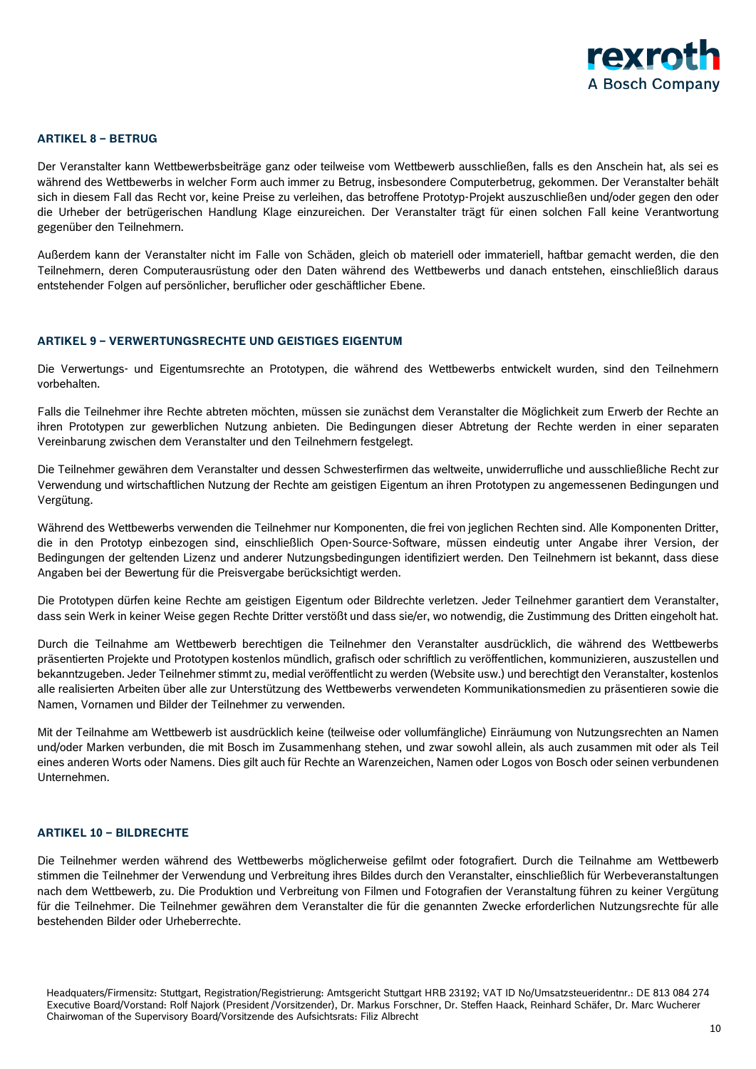

#### **ARTIKEL 8 – BETRUG**

Der Veranstalter kann Wettbewerbsbeiträge ganz oder teilweise vom Wettbewerb ausschließen, falls es den Anschein hat, als sei es während des Wettbewerbs in welcher Form auch immer zu Betrug, insbesondere Computerbetrug, gekommen. Der Veranstalter behält sich in diesem Fall das Recht vor, keine Preise zu verleihen, das betroffene Prototyp-Projekt auszuschließen und/oder gegen den oder die Urheber der betrügerischen Handlung Klage einzureichen. Der Veranstalter trägt für einen solchen Fall keine Verantwortung gegenüber den Teilnehmern.

Außerdem kann der Veranstalter nicht im Falle von Schäden, gleich ob materiell oder immateriell, haftbar gemacht werden, die den Teilnehmern, deren Computerausrüstung oder den Daten während des Wettbewerbs und danach entstehen, einschließlich daraus entstehender Folgen auf persönlicher, beruflicher oder geschäftlicher Ebene.

## **ARTIKEL 9 – VERWERTUNGSRECHTE UND GEISTIGES EIGENTUM**

Die Verwertungs- und Eigentumsrechte an Prototypen, die während des Wettbewerbs entwickelt wurden, sind den Teilnehmern vorbehalten.

Falls die Teilnehmer ihre Rechte abtreten möchten, müssen sie zunächst dem Veranstalter die Möglichkeit zum Erwerb der Rechte an ihren Prototypen zur gewerblichen Nutzung anbieten. Die Bedingungen dieser Abtretung der Rechte werden in einer separaten Vereinbarung zwischen dem Veranstalter und den Teilnehmern festgelegt.

Die Teilnehmer gewähren dem Veranstalter und dessen Schwesterfirmen das weltweite, unwiderrufliche und ausschließliche Recht zur Verwendung und wirtschaftlichen Nutzung der Rechte am geistigen Eigentum an ihren Prototypen zu angemessenen Bedingungen und Vergütung.

Während des Wettbewerbs verwenden die Teilnehmer nur Komponenten, die frei von jeglichen Rechten sind. Alle Komponenten Dritter, die in den Prototyp einbezogen sind, einschließlich Open-Source-Software, müssen eindeutig unter Angabe ihrer Version, der Bedingungen der geltenden Lizenz und anderer Nutzungsbedingungen identifiziert werden. Den Teilnehmern ist bekannt, dass diese Angaben bei der Bewertung für die Preisvergabe berücksichtigt werden.

Die Prototypen dürfen keine Rechte am geistigen Eigentum oder Bildrechte verletzen. Jeder Teilnehmer garantiert dem Veranstalter, dass sein Werk in keiner Weise gegen Rechte Dritter verstößt und dass sie/er, wo notwendig, die Zustimmung des Dritten eingeholt hat.

Durch die Teilnahme am Wettbewerb berechtigen die Teilnehmer den Veranstalter ausdrücklich, die während des Wettbewerbs präsentierten Projekte und Prototypen kostenlos mündlich, grafisch oder schriftlich zu veröffentlichen, kommunizieren, auszustellen und bekanntzugeben. Jeder Teilnehmer stimmt zu, medial veröffentlicht zu werden (Website usw.) und berechtigt den Veranstalter, kostenlos alle realisierten Arbeiten über alle zur Unterstützung des Wettbewerbs verwendeten Kommunikationsmedien zu präsentieren sowie die Namen, Vornamen und Bilder der Teilnehmer zu verwenden.

Mit der Teilnahme am Wettbewerb ist ausdrücklich keine (teilweise oder vollumfängliche) Einräumung von Nutzungsrechten an Namen und/oder Marken verbunden, die mit Bosch im Zusammenhang stehen, und zwar sowohl allein, als auch zusammen mit oder als Teil eines anderen Worts oder Namens. Dies gilt auch für Rechte an Warenzeichen, Namen oder Logos von Bosch oder seinen verbundenen Unternehmen.

### **ARTIKEL 10 – BILDRECHTE**

Die Teilnehmer werden während des Wettbewerbs möglicherweise gefilmt oder fotografiert. Durch die Teilnahme am Wettbewerb stimmen die Teilnehmer der Verwendung und Verbreitung ihres Bildes durch den Veranstalter, einschließlich für Werbeveranstaltungen nach dem Wettbewerb, zu. Die Produktion und Verbreitung von Filmen und Fotografien der Veranstaltung führen zu keiner Vergütung für die Teilnehmer. Die Teilnehmer gewähren dem Veranstalter die für die genannten Zwecke erforderlichen Nutzungsrechte für alle bestehenden Bilder oder Urheberrechte.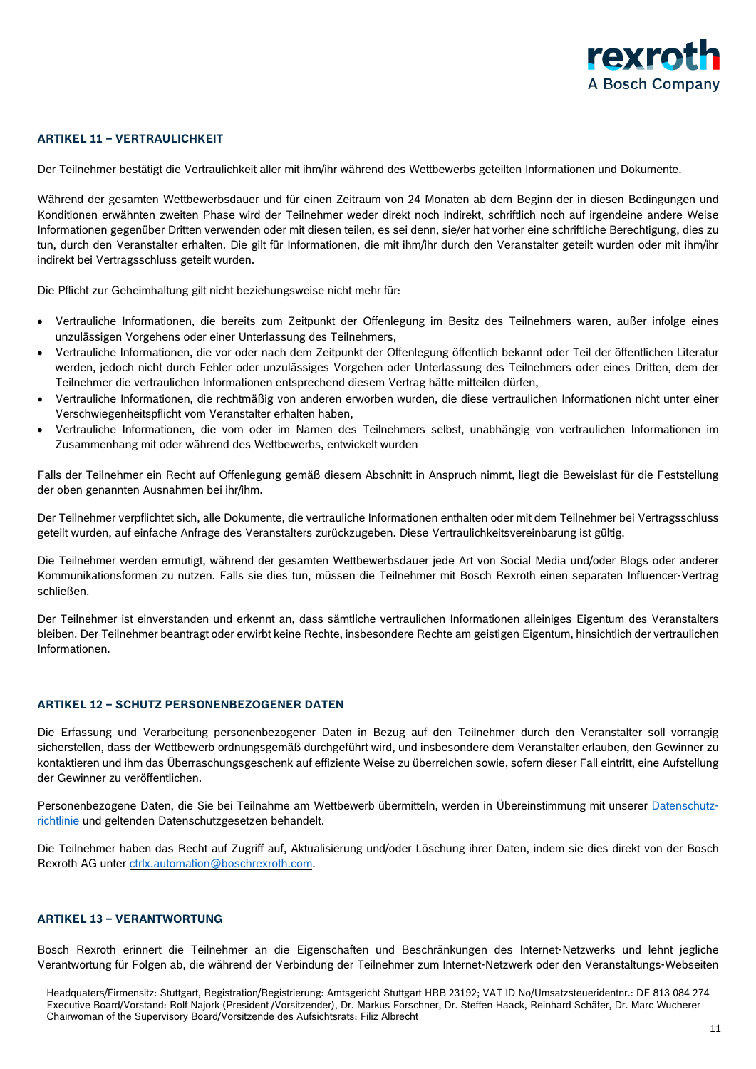

## **ARTIKEL 11 – VERTRAULICHKEIT**

Der Teilnehmer bestätigt die Vertraulichkeit aller mit ihm/ihr während des Wettbewerbs geteilten Informationen und Dokumente.

Während der gesamten Wettbewerbsdauer und für einen Zeitraum von 24 Monaten ab dem Beginn der in diesen Bedingungen und Konditionen erwähnten zweiten Phase wird der Teilnehmer weder direkt noch indirekt, schriftlich noch auf irgendeine andere Weise Informationen gegenüber Dritten verwenden oder mit diesen teilen, es sei denn, sie/er hat vorher eine schriftliche Berechtigung, dies zu tun, durch den Veranstalter erhalten. Die gilt für Informationen, die mit ihm/ihr durch den Veranstalter geteilt wurden oder mit ihm/ihr indirekt bei Vertragsschluss geteilt wurden.

Die Pflicht zur Geheimhaltung gilt nicht beziehungsweise nicht mehr für:

- Vertrauliche Informationen, die bereits zum Zeitpunkt der Offenlegung im Besitz des Teilnehmers waren, außer infolge eines unzulässigen Vorgehens oder einer Unterlassung des Teilnehmers,
- Vertrauliche Informationen, die vor oder nach dem Zeitpunkt der Offenlegung öffentlich bekannt oder Teil der öffentlichen Literatur werden, jedoch nicht durch Fehler oder unzulässiges Vorgehen oder Unterlassung des Teilnehmers oder eines Dritten, dem der Teilnehmer die vertraulichen Informationen entsprechend diesem Vertrag hätte mitteilen dürfen,
- Vertrauliche Informationen, die rechtmäßig von anderen erworben wurden, die diese vertraulichen Informationen nicht unter einer Verschwiegenheitspflicht vom Veranstalter erhalten haben,
- Vertrauliche Informationen, die vom oder im Namen des Teilnehmers selbst, unabhängig von vertraulichen Informationen im Zusammenhang mit oder während des Wettbewerbs, entwickelt wurden

Falls der Teilnehmer ein Recht auf Offenlegung gemäß diesem Abschnitt in Anspruch nimmt, liegt die Beweislast für die Feststellung der oben genannten Ausnahmen bei ihr/ihm.

Der Teilnehmer verpflichtet sich, alle Dokumente, die vertrauliche Informationen enthalten oder mit dem Teilnehmer bei Vertragsschluss geteilt wurden, auf einfache Anfrage des Veranstalters zurückzugeben. Diese Vertraulichkeitsvereinbarung ist gültig.

Die Teilnehmer werden ermutigt, während der gesamten Wettbewerbsdauer jede Art von Social Media und/oder Blogs oder anderer Kommunikationsformen zu nutzen. Falls sie dies tun, müssen die Teilnehmer mit Bosch Rexroth einen separaten Influencer-Vertrag schließen.

Der Teilnehmer ist einverstanden und erkennt an, dass sämtliche vertraulichen Informationen alleiniges Eigentum des Veranstalters bleiben. Der Teilnehmer beantragt oder erwirbt keine Rechte, insbesondere Rechte am geistigen Eigentum, hinsichtlich der vertraulichen Informationen.

#### **ARTIKEL 12 – SCHUTZ PERSONENBEZOGENER DATEN**

Die Erfassung und Verarbeitung personenbezogener Daten in Bezug auf den Teilnehmer durch den Veranstalter soll vorrangig sicherstellen, dass der Wettbewerb ordnungsgemäß durchgeführt wird, und insbesondere dem Veranstalter erlauben, den Gewinner zu kontaktieren und ihm das Überraschungsgeschenk auf effiziente Weise zu überreichen sowie, sofern dieser Fall eintritt, eine Aufstellung der Gewinner zu veröffentlichen.

Personenbezogene Daten, die Sie bei Teilnahme am Wettbewerb übermitteln, werden in Übereinstimmung mit unserer [Datenschutz](https://www.boschrexroth.com/documents/12605/34233325/ctrlX+AUTOMATION+-+developR+Challenge+-+GDPR+-+2021-09%3B+EN-DE/0b332340-7162-965b-6d5c-08eb82b1d9d5)[richtlinie](https://www.boschrexroth.com/documents/12605/34233325/ctrlX+AUTOMATION+-+developR+Challenge+-+GDPR+-+2021-09%3B+EN-DE/0b332340-7162-965b-6d5c-08eb82b1d9d5) und geltenden Datenschutzgesetzen behandelt.

Die Teilnehmer haben das Recht auf Zugriff auf, Aktualisierung und/oder Löschung ihrer Daten, indem sie dies direkt von der Bosch Rexroth AG unter [ctrlx.automation@boschrexroth.com.](mailto:ctrlx.automation@boschrexroth.com)

#### **ARTIKEL 13 – VERANTWORTUNG**

Bosch Rexroth erinnert die Teilnehmer an die Eigenschaften und Beschränkungen des Internet-Netzwerks und lehnt jegliche Verantwortung für Folgen ab, die während der Verbindung der Teilnehmer zum Internet-Netzwerk oder den Veranstaltungs-Webseiten

Headquaters/Firmensitz: Stuttgart, Registration/Registrierung: Amtsgericht Stuttgart HRB 23192; VAT ID No/Umsatzsteueridentnr.: DE 813 084 274 Executive Board/Vorstand: Rolf Najork (President /Vorsitzender), Dr. Markus Forschner, Dr. Steffen Haack, Reinhard Schäfer, Dr. Marc Wucherer Chairwoman of the Supervisory Board/Vorsitzende des Aufsichtsrats: Filiz Albrecht